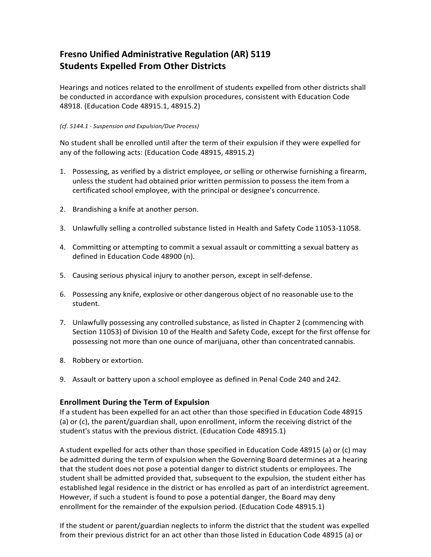## **Fresno Unified Administrative Regulation (AR) 5119 Students Expelled From Other Districts**

Hearings and notices related to the enrollment of students expelled from other districts shall be conducted in accordance with expulsion procedures, consistent with Education Code 48918. (Education Code 48915.1, 48915.2)

## *(cf. 5144.1 - Suspension and Expulsion/Due Process)*

No student shall be enrolled until after the term of their expulsion if they were expelled for any of the following acts: (Education Code 48915, 48915.2)

- 1. Possessing, as verified by a district employee, or selling or otherwise furnishing a firearm, unless the student had obtained prior written permission to possess the item from a certificated school employee, with the principal or designee's concurrence.
- 2. Brandishing a knife at another person.
- 3. Unlawfully selling a controlled substance listed in Health and Safety Code 11053-11058.
- 4. Committing or attempting to commit a sexual assault or committing a sexual battery as defined in Education Code 48900 (n).
- 5. Causing serious physical injury to another person, except in self-defense.
- 6. Possessing any knife, explosive or other dangerous object of no reasonable use to the student.
- 7. Unlawfully possessing any controlled substance, as listed in Chapter 2 (commencing with Section 11053) of Division 10 of the Health and Safety Code, except for the first offense for possessing not more than one ounce of marijuana, other than concentrated cannabis.
- 8. Robbery or extortion.
- 9. Assault or battery upon a school employee as defined in Penal Code 240 and 242.

## **Enrollment During the Term of Expulsion**

If a student has been expelled for an act other than those specified in Education Code 48915 (a) or (c), the parent/guardian shall, upon enrollment, inform the receiving district of the student's status with the previous district. (Education Code 48915.1)

A student expelled for acts other than those specified in Education Code 48915 (a) or (c) may be admitted during the term of expulsion when the Governing Board determines at a hearing that the student does not pose a potential danger to district students or employees. The student shall be admitted provided that, subsequent to the expulsion, the student either has established legal residence in the district or has enrolled as part of an interdistrict agreement. However, if such a student is found to pose a potential danger, the Board may deny enrollment for the remainder of the expulsion period. (Education Code 48915.1)

If the student or parent/guardian neglects to inform the district that the student was expelled from their previous district for an act other than those listed in Education Code 48915 (a) or